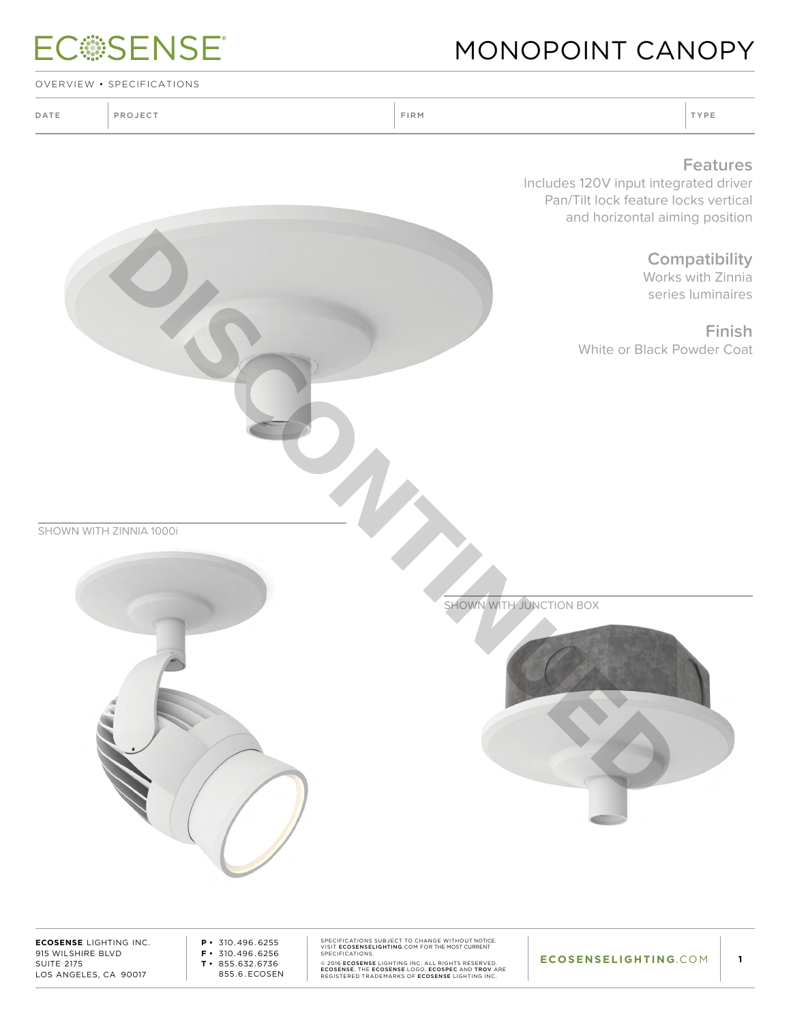|                                 | <b>ECSSENSE</b>                                                                                    |                                                                                                                                                                             | MONOPOINT CANOPY                                                                                                                   |  |
|---------------------------------|----------------------------------------------------------------------------------------------------|-----------------------------------------------------------------------------------------------------------------------------------------------------------------------------|------------------------------------------------------------------------------------------------------------------------------------|--|
| OVERVIEW • SPECIFICATIONS       |                                                                                                    |                                                                                                                                                                             |                                                                                                                                    |  |
| DATE                            | PROJECT                                                                                            | FIRM                                                                                                                                                                        | TYPE                                                                                                                               |  |
|                                 |                                                                                                    |                                                                                                                                                                             | <b>Features</b><br>Includes 120V input integrated driver<br>Pan/Tilt lock feature locks vertical<br>and horizontal aiming position |  |
|                                 |                                                                                                    |                                                                                                                                                                             | Compatibility<br>Works with Zinnia<br>series luminaires                                                                            |  |
|                                 |                                                                                                    |                                                                                                                                                                             | <b>Finish</b><br>White or Black Powder Coat                                                                                        |  |
|                                 |                                                                                                    |                                                                                                                                                                             |                                                                                                                                    |  |
|                                 | SHOWN WITH ZINNIA 1000i                                                                            |                                                                                                                                                                             |                                                                                                                                    |  |
|                                 |                                                                                                    | SHOWN WITH JUNCTION BOX                                                                                                                                                     |                                                                                                                                    |  |
|                                 |                                                                                                    |                                                                                                                                                                             |                                                                                                                                    |  |
|                                 |                                                                                                    |                                                                                                                                                                             |                                                                                                                                    |  |
| 915 WILSHIRE BLVD<br>CULTE 217E | <b>ECOSENSE LIGHTING INC.</b><br>$P \cdot 310.496.6255$<br>$F \cdot 310.496.6256$<br>OFF $CZ2CZZC$ | SPECIFICATIONS SUBJECT TO CHANGE WITHOUT NOTICE.<br>VISIT ECOSENSELIGHTING.COM FOR THE MOST CURRENT<br>SPECIFICATIONS.<br>@ 2016 FCOSENSE LIGHTING INC. ALL RIGHTS RESERVED | ECOSENSELIGHTING.COM<br>$\blacksquare$ 1                                                                                           |  |

SUITE 2175 LOS ANGELES, CA 90017 **T •** 855.632.6736 855.6 . ECOSEN

© 2016 **ECOSENSE** LIGHTING INC. ALL RIGHTS RESERVED.<br>ECOSENSE, THE ECOSENSE LOGO, ECOSPEC AND TROV ARE<br>REGISTERED TRADEMARKS OF **ECOSENSE** LIGHTING INC.